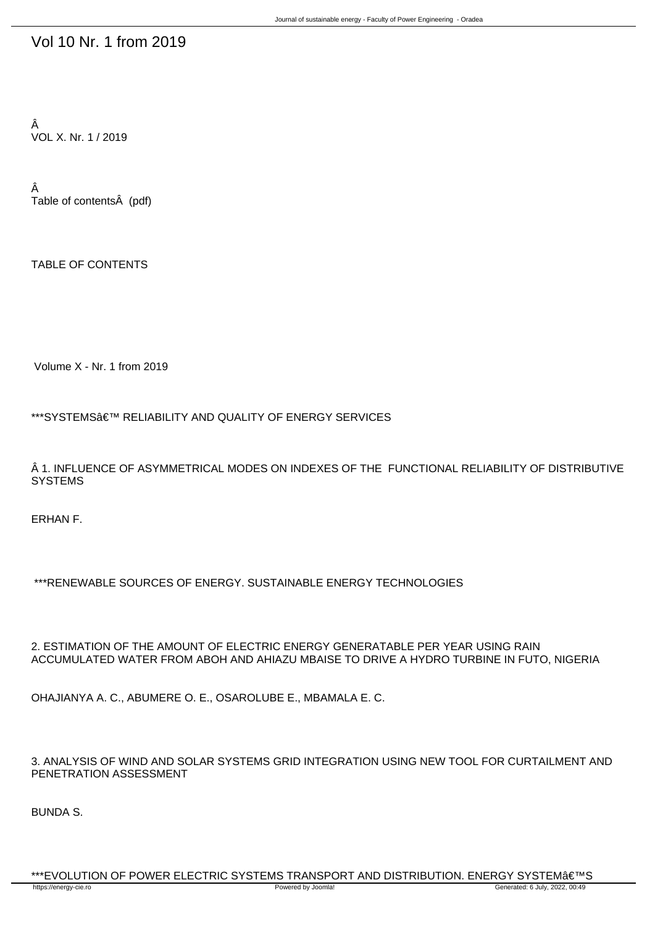## Vol 10 Nr. 1 from 2019

Â VOL X. Nr. 1 / 2019

Â Table of contents (pdf)

TABLE OF CONTENTS

Volume X - Nr. 1 from 2019

\*\*\*SYSTEMS' RELIABILITY AND QUALITY OF ENERGY SERVICES

 $\hat{A}$  1. INFLUENCE OF ASYMMETRICAL MODES ON INDEXES OF THE FUNCTIONAL RELIABILITY OF DISTRIBUTIVE **SYSTEMS** 

ERHAN F.

\*\*\*RENEWABLE SOURCES OF ENERGY. SUSTAINABLE ENERGY TECHNOLOGIES

2. ESTIMATION OF THE AMOUNT OF ELECTRIC ENERGY GENERATABLE PER YEAR USING RAIN ACCUMULATED WATER FROM ABOH AND AHIAZU MBAISE TO DRIVE A HYDRO TURBINE IN FUTO, NIGERIA

OHAJIANYA A. C., ABUMERE O. E., OSAROLUBE E., MBAMALA E. C.

3. ANALYSIS OF WIND AND SOLAR SYSTEMS GRID INTEGRATION USING NEW TOOL FOR CURTAILMENT AND PENETRATION ASSESSMENT

BUNDA S.